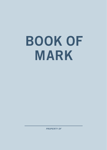# BOOK OF MARK

*PROPERTY OF*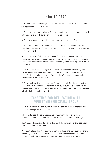## HOW TO READ

1. Be consistent. The readings are Monday - Friday. On the weekends, catch up if you get behind or read a Psalm.

2. Forget what you already know. Read what's actually in the text, approaching it with humility and with as few preconceptions as possible.

3. Read slowly and carefully. Each day's reading is very short. Savor it.

4. Mark up the text. Look for connections, contradictions, conundrums. What questions does it raise? Circle, underline, highlight, and annotate. Write it down in your own words.

5. Don't be afraid of difficulty or mystery. God's Word is sometimes built around surprising paradoxes. An important part of reading the Bible is noticing unexpected twists in the text and deeply pondering their meaning. God is a God of surprises.

6. Be prepared to be challenged. When believers approach Bible study, they are encountering a living Word, not analyzing a dead fish. Students of God's living Word need to be open to the fact that the Word challenges our cultural assumptions in surprising ways.

7. Allow the Holy Spirit to nudge you. Get quiet and let God show you insights about who He is and what He wants to show you through this passage. Is He nudging you to think about an issue or do something in response to the passage? Sit with that idea and talk with God about it.

## TAKE TIME FOR REFLECTION WITH YOUR FAMILY OR SMALL GROUP

The Bible is meant for community. We can all learn from each other and grow closer as God speaks to our hearts.

Take time to read the daily readings as a family, in your small groups, or participate online. Ask, "Who can tell me what happened in our reading?"

Use "Today's Takeaways" to highlight some of the key points of the reading in case the answer missed them.

Pose the "Talking Topic" to the whole family or group and have everyone answer (including you!). These are broad questions that everyone should be able to answer on their own level and will hopefully lead to deeper discussion.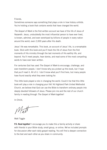#### **Friends**

Sometimes someone says something that plays a role in how history unfolds. You're holding a book that contains words that have changed the world.

*The Gospel of Mark* is the first written account we have of the life of Jesus of Nazareth. Jesus, undoubtedly the most infuential person to have ever lived, is known, admired, and even worshiped by billions of people in every nation around the world, even 2,000 years after His death.

Jesus' life was remarkable. This book, an account of Jesus' life, is a remarkable book. Stick with this book and you'll track the life of Jesus from the frst moments of His ministry through the last moments of His earthly life, and beyond. You'll meet people, hear stories, and read some of the most compelling words to have ever been written

For centuries God has used *The Gospel of Mark* to encourage, challenge, and even transform people. I don't know why you picked up this book, but I hope that you'll read it. All of it. I don't know what you'll find here, but many people have found exactly what they were looking for.

This little book played a role in changing the world. Could it be that this little book will play a role in changing your life? At Highland Park United Methodist Church, we believe that God can use the Bible to transform ordinary people into deeply devoted followers of Jesus. Please join me and the rest of our church family in reading through *The Gospel of Mark* together!

In Christ,

Matt Tuggle

**P.S. Read together!** I encourage you to make this a family activity or share with friends in your Bible study, small group, or online. We've included prompts for discussion after each daily gospel reading. You will find a deeper connection to the text and each other as you share in community.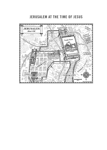# JERUSALEM AT THE TIME OF JESUS

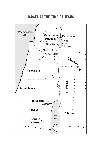ISRAEL AT THE TIME OF JESUS

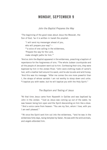## MONDAY, SEPTEMBER 9

*John the Baptist Prepares the Way*

<sup>1</sup>The beginning of the good news about Jesus the Messiah, the Son of God, 2as it is written in Isaiah the prophet:

"I will send my messenger ahead of you, who will prepare your way"— <sup>3"</sup> a voice of one calling in the wilderness, 'Prepare the way for the Lord, make straight paths for him.'"

4And so John the Baptist appeared in the wilderness, preaching a baptism of repentance for the forgiveness of sins. 5The whole Judean countryside and all the people of Jerusalem went out to him. Confessing their sins, they were baptized by him in the Jordan River. <sup>6</sup>John wore clothing made of camel's hair, with a leather belt around his waist, and he ate locusts and wild honey. 7And this was his message: "After me comes the one more powerful than I, the straps of whose sandals I am not worthy to stoop down and untie. 8I baptize you with water, but he will baptize you with the Holy Spirit."

## *The Baptism and Testing of Jesus*

9At that time Jesus came from Nazareth in Galilee and was baptized by John in the Jordan. <sup>10</sup>Just as Jesus was coming up out of the water, he saw heaven being torn open and the Spirit descending on him like a dove. 11And a voice came from heaven: "You are my Son, whom I love; with you I am well pleased."

 $12$ At once the Spirit sent him out into the wilderness,  $13$  and he was in the wilderness forty days, being tempted by Satan. He was with the wild animals, and angels attended him.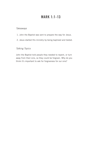# MARK 1:1-13

## *Takeaways*

- 1. John the Baptist was sent to prepare the way for Jesus.
- 2. Jesus started His ministry by being baptized and tested.

## *Talking Topics*

John the Baptist told people they needed to repent, or turn away from their sins, so they could be forgiven. Why do you think it's important to ask for forgiveness for our sins?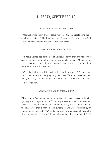# TUESDAY, SEPTEMBER 10

#### *Jesus Announces the Good News*

<sup>14</sup>After John was put in prison, Jesus went into Galilee, proclaiming the good news of God. 15"The time has come," he said. "The kingdom of God has come near. Repent and believe the good news!"

#### *Jesus Calls His First Disciples*

<sup>16</sup>As Jesus walked beside the Sea of Galilee, he saw Simon and his brother Andrew casting a net into the lake, for they were fishermen. 17"Come, follow me," Jesus said, "and I will send you out to fish for people." <sup>18</sup>At once they left their nets and followed him.

19When he had gone a little farther, he saw James son of Zebedee and his brother John in a boat, preparing their nets. <sup>20</sup>Without delay he called them, and they left their father Zebedee in the boat with the hired men and followed him.

#### *Jesus Drives Out an Impure Spirit*

 $21$ They went to Capernaum, and when the Sabbath came, Jesus went into the synagogue and began to teach.  $^{22}$ The people were amazed at his teaching, because he taught them as one who had authority, not as the teachers of the law. 23Just then a man in their synagogue who was possessed by an impure spirit cried out, 24"What do you want with us, Jesus of Nazareth? Have you come to destroy us? I know who you are—the Holy One of God!"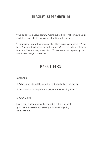# TUESDAY, SEPTEMBER 10

<sup>25</sup>"Be quiet!" said Jesus sternly. "Come out of him!" <sup>26</sup>The impure spirit shook the man violently and came out of him with a shriek.

 $27$ The people were all so amazed that they asked each other, "What is this? A new teaching—and with authority! He even gives orders to impure spirits and they obey him." 28News about him spread quickly over the whole region of Galilee.

## MARK 1:14-28

#### *Takeaways*

- 1. When Jesus started His ministry, He invited others to join Him.
- 2. Jesus cast out evil spirits and people started hearing about it.

## *Talking Topics*

How do you think you would have reacted if Jesus showed up to your school/work and asked you to drop everything and follow Him?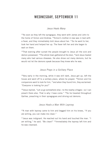## WEDNESDAY, SEPTEMBER 11

#### *Jesus Heals Many*

 29As soon as they left the synagogue, they went with James and John to the home of Simon and Andrew. <sup>30</sup>Simon's mother-in-law was in bed with a fever, and they immediately told Jesus about her. 31So he went to her. took her hand and helped her up. The fever left her and she began to wait on them.

 $32$ That evening after sunset the people brought to Jesus all the sick and demon-possessed. 33The whole town gathered at the door, 34and Jesus healed many who had various diseases. He also drove out many demons, but he would not let the demons speak because they knew who he was.

## *Jesus Prays in a Solitary Place*

35Very early in the morning, while it was still dark, Jesus got up, left the house and went off to a solitary place, where he prayed. 36Simon and his companions went to look for him, <sup>37</sup>and when they found him, they exclaimed: "Everyone is looking for you!"

38 Jesus replied, "Let us go somewhere else—to the nearby villages—so I can preach there also. That is why I have come." <sup>39</sup>So he traveled throughout Galilee, preaching in their synagogues and driving out demons.

#### *Jesus Heals a Man With Leprosy*

40A man with leprosy came to him and begged him on his knees, "If you are willing, you can make me clean."

 $41$  Jesus was indignant. He reached out his hand and touched the man. "I am willing." he said. "Be clean!" <sup>42</sup>Immediately the leprosy left him and he was cleansed.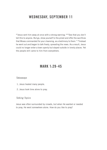# WEDNESDAY, SEPTEMBER 11

43Jesus sent him away at once with a strong warning: 44"See that you don't tell this to anyone. But go, show yourself to the priest and offer the sacrifces that Moses commanded for your cleansing, as a testimony to them." 45Instead he went out and began to talk freely, spreading the news. As a result, Jesus could no longer enter a town openly but stayed outside in lonely places. Yet the people still came to him from everywhere.

## MARK 1:29-45

#### *Takeaways*

- 1. Jesus healed many people.
- 2. Jesus took time alone to pray.

## *Talking Topics*

Jesus was often surrounded by crowds, but when He wanted or needed to pray, He went somewhere alone. How do you like to pray?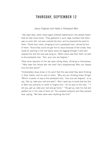## THURSDAY, SEPTEMBER 12

#### *Jesus Forgives and Heals a Paralyzed Man*

<sup>1</sup> few days later, when Jesus again entered Capternaum, the people heard that he had come home. <sup>2</sup>They gathered in such large numbers that there was no room left, not even outside the door, and he preached the word to them. <sup>3</sup>Some men came, bringing to him a paralyzed man, carried by four of them. 4Since they could not get him to Jesus because of the crowd, they made an opening in the roof above Jesus by digging through it and then lowered the mat the man was lying on. <sup>5</sup>When Jesus saw their faith, he said to the paralyzed man, "Son, your sins are forgiven."

<sup>6</sup>Now some teachers of the law were sitting there, thinking to themselves, 7"Why does this fellow talk like that? He's blaspheming! Who can forgive sins but God alone?"

8Immediately Jesus knew in his spirit that this was what they were thinking in their hearts, and he said to them, "Why are you thinking these things? 9Which is easier: to say to this paralyzed man, 'Your sins are forgiven,' or to say, 'Get up, take your mat and walk'? <sup>10</sup>But I want you to know that the Son of Man has authority on earth to forgive sins." So he said to the man,  $11^{\circ}$ I tell you, get up, take your mat and go home." <sup>12</sup>He got up, took his mat and walked out in full view of them all. This amazed everyone and they praised God, saying, "We have never seen anything like this!"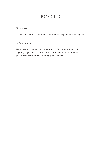# MARK 2:1-12

## *Takeaways*

1. Jesus healed the man to prove He truly was capable of forgiving sins.

## *Talking Topics*

The paralyzed man had such great friends! They were willing to do anything to get their friend to Jesus so He could heal them. Which of your friends would do something similar for you?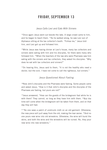# FRIDAY, SEPTEMBER 13

#### *Jesus Calls Levi and Eats With Sinners*

<sup>13</sup> Once again Jesus went out beside the lake. A large crowd came to him, and he began to teach them. <sup>14</sup>As he walked along, he saw Levi son of Alphaeus sitting at the tax collector's booth. "Follow me," Jesus told him, and Levi got up and followed him.

<sup>15</sup>While Jesus was having dinner at Levi's house, many tax collectors and sinners were eating with him and his disciples, for there were many who followed him. 16When the teachers of the law who were Pharisees saw him eating with the sinners and tax collectors, they asked his disciples: "Why does he eat with tax collectors and sinners?"

17On hearing this, Jesus said to them, "It is not the healthy who need a doctor, but the sick. I have not come to call the righteous, but sinners."

## *Jesus Questioned About Fasting*

18Now John's disciples and the Pharisees were fasting. Some people came and asked Jesus, "How is it that John's disciples and the disciples of the Pharisees are fasting, but yours are not?"

<sup>19</sup> Jesus answered, "How can the guests of the bridegroom fast while he is with them? They cannot, so long as they have him with them. <sup>20</sup>But the time will come when the bridegroom will be taken from them, and on that day they will fast.

 $21<sup>41</sup>$ No one sews a patch of unshrunk cloth on an old garment. Otherwise, the new piece will pull away from the old, making the tear worse.  $22$ And no one pours new wine into old wineskins. Otherwise, the wine will burst the skins, and both the wine and the wineskins will be ruined. No, they pour new wine into new wineskins."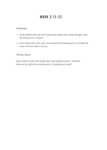# MARK 2:13-22

#### *Takeaways*

- 1. Jesus worked with and was friends with people who others thought were the wrong kind of people.
- 2. Jesus cared about the rules, but realized that following Him trumped the rules if the two didn't line up.

## *Talking Topics*

Jesus made friends with people who most people wouldn't befriend. How can you befriend someone who is otherwise excluded?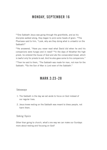## MONDAY, SEPTEMBER 16

<sup>23</sup> One Sabbath Jesus was going through the grainfields, and as his disciples walked along, they began to pick some heads of grain. 24The Pharisees said to him, "Look, why are they doing what is unlawful on the Sabbath?"

25He answered, "Have you never read what David did when he and his companions were hungry and in need? <sup>26</sup>In the days of Abiathar the high priest, he entered the house of God and ate the consecrated bread, which is lawful only for priests to eat. And he also gave some to his companions."

<sup>27</sup>Then he said to them, "The Sabbath was made for man, not man for the Sabbath. 28So the Son of Man is Lord even of the Sabbath."

## MARK 2:23-28

#### *Takeaways*

- 1. The Sabbath is the day we set aside to focus on God instead of our regular lives.
- 2. Jesus knew resting on the Sabbath was meant to bless people, not harm them.

#### *Talking Topics*

Other than going to church, what's one way we can make our Sundays more about resting and focusing on God?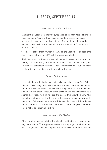# TUESDAY, SEPTEMBER 17

#### *Jesus Heals on the Sabbath*

<sup>1</sup> Another time Jesus went into the synagogue, and a man with a shriveled hand was there. <sup>2</sup>Some of them were looking for a reason to accuse Jesus, so they watched him closely to see if he would heal him on the Sabbath. <sup>3</sup> Jesus said to the man with the shriveled hand, "Stand up in front of everyone."

4Then Jesus asked them, "Which is lawful on the Sabbath: to do good or to do evil, to save life or to kill?" But they remained silent.

<sup>5</sup>He looked around at them in anger and, deeply distressed at their stubborn hearts, said to the man, "Stretch out your hand." He stretched it out, and his hand was completely restored. <sup>6</sup>Then the Pharisees went out and began to plot with the Herodians how they might kill Jesus.

#### *Crowds Follow Jesus*

7Jesus withdrew with his disciples to the lake, and a large crowd from Galilee followed. <sup>8</sup>When they heard about all he was doing, many people came to him from Judea, Jerusalem, Idumea, and the regions across the Jordan and around Tyre and Sidon. <sup>9</sup>Because of the crowd he told his disciples to have a small boat ready for him, to keep the people from crowding him. <sup>10</sup>For he had healed many, so that those with diseases were pushing forward to touch him. 11Whenever the impure spirits saw him, they fell down before him and cried out, "You are the Son of God." <sup>12</sup>But he gave them strict orders not to tell others about him.

#### *Jesus Appoints the Twelve*

<sup>13</sup> Jesus went up on a mountainside and called to him those he wanted, and they came to him. <sup>14</sup>He appointed twelve that they might be with him and that he might send them out to preach <sup>15</sup>and to have authority to drive out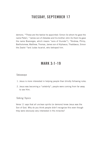## TUESDAY, SEPTEMBER 17

demons. 16These are the twelve he appointed: Simon (to whom he gave the name Peter), <sup>17</sup>James son of Zebedee and his brother John (to them he gave the name Boanerges, which means "sons of thunder"), <sup>18</sup>Andrew, Philip, Bartholomew, Matthew, Thomas, James son of Alphaeus, Thaddaeus, Simon the Zealot <sup>19</sup>and Judas Iscariot, who betrayed him.

## MARK 3:1-19

#### *Takeaways*

- 1. Jesus is more interested in helping people than blindly following rules.
- 2. Jesus was becoming a "celebrity"; people were coming from far away to see Him.

#### *Talking Topics*

Verse 11 says that all unclean spirits (or demons) knew Jesus was the Son of God. Why do you think people didn't recognize this even though they were obviously very interested in His miracles?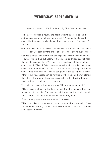## WEDNESDAY, SEPTEMBER 18

#### *Jesus Accused by His Family and by Teachers of the Law*

<sup>20</sup>Then Jesus entered a house, and again a crowd gathered, so that he and his disciples were not even able to eat. <sup>21</sup>When his family heard about this, they went to take charge of him, for they said, "He is out of his mind."

<sup>22</sup>And the teachers of the law who came down from Jerusalem said, "He is possessed by Beelzebul! By the prince of demons he is driving out demons."

<sup>23</sup>So Jesus called them over to him and began to speak to them in parables: "How can Satan drive out Satan? <sup>24</sup>If a kingdom is divided against itself, that kingdom cannot stand. <sup>25</sup>If a house is divided against itself, that house cannot stand. 26And if Satan opposes himself and is divided, he cannot stand; his end has come. <sup>27</sup>In fact, no one can enter a strong man's house without first tying him up. Then he can plunder the strong man's house.  $28$ Truly I tell you, people can be forgiven all their sins and every slander they utter, 29but whoever blasphemes against the Holy Spirit will never be forgiven; they are guilty of an eternal sin."

30He said this because they were saying, "He has an impure spirit."

<sup>31</sup>Then Jesus' mother and brothers arrived. Standing outside, they sent someone in to call him. <sup>32</sup>A crowd was sitting around him, and they told him, "Your mother and brothers are outside looking for you."

33"Who are my mother and my brothers?" he asked.

<sup>34</sup>Then he looked at those seated in a circle around him and said. "Here are my mother and my brothers! <sup>35</sup>Whoever does God's will is my brother and sister and mother."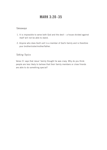# MARK 3:20-35

#### *Takeaways*

- 1. It is impossible to serve both God and the devil a house divided against itself will not be able to stand.
- 2. Anyone who does God's will is a member of God's family and is therefore your brother/sister/mother/father.

## *Talking Topics*

Verse 21 says that Jesus' family thought he was crazy. Why do you think people are less likely to believe that their family members or close friends are able to do something special?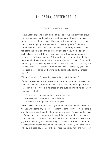## THURSDAY, SEPTEMBER 19

#### *The Parable of the Sower*

<sup>1</sup> Again Jesus began to teach by the lake. The crowd that gathered around him was so large that he got into a boat and sat in it out on the lake, while all the people were along the shore at the water's edge. <sup>2</sup>He taught them many things by parables, and in his teaching said: <sup>3"</sup>Listen! A farmer went out to sow his seed. <sup>4</sup>As he was scattering the seed, some fell along the path, and the birds came and ate it up. <sup>5</sup>Some fell on rocky places, where it did not have much soil. It sprang up quickly, because the soil was shallow. <sup>6</sup>But when the sun came up, the plants were scorched, and they withered because they had no root. 7Other seed fell among thorns, which grew up and choked the plants, so that they did not bear grain. 8Still other seed fell on good soil. It came up, grew and produced a crop, some multiplying thirty, some sixty, some a hundred times."

9Then Jesus said, "Whoever has ears to hear, let them hear."

10When he was alone, the Twelve and the others around him asked him about the parables. <sup>11</sup>He told them, "The secret of the kingdom of God has been given to you. But to those on the outside everything is said in parables 12so that.

"'they may be ever seeing but never perceiving, and ever hearing but never understanding; otherwise they might turn and be forgiven!'"

13Then Jesus said to them, "Don't you understand this parable? How then will you understand any parable? <sup>14</sup>The farmer sows the word. <sup>15</sup>Some people are like seed along the path, where the word is sown. As soon as they hear it, Satan comes and takes away the word that was sown in them. <sup>16</sup>Others, like seed sown on rocky places, hear the word and at once receive it with joy. <sup>17</sup>But since they have no root, they last only a short time. When trouble or persecution comes because of the word, they quickly fall away. 18Still others, like seed sown among thorns, hear the word; <sup>19</sup>but the worries of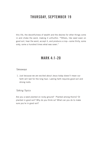# THURSDAY, SEPTEMBER 19

this life, the deceitfulness of wealth and the desires for other things come in and choke the word, making it unfruitful. <sup>20</sup>Others, like seed sown on good soil, hear the word, accept it, and produce a crop—some thirty, some sixty, some a hundred times what was sown."

## MARK 4:1-20

#### *Takeaways*

 1. Just because we are excited about Jesus today doesn't mean our faith will last for the long haul. Lasting faith requires good soil and strong roots.

## *Talking Topics*

Are you a seed planted on rocky ground? Planted among thorns? Or planted in good soil? Why do you think so? What can you do to make sure you're in good soil?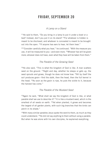# FRIDAY, SEPTEMBER 20

#### *A Lamp on a Stand*

 $21$ He said to them, "Do you bring in a lamp to put it under a bowl or a bed? Instead, don't you put it on its stand? <sup>22</sup>For whatever is hidden is meant to be disclosed, and whatever is concealed is meant to be brought out into the open. <sup>23</sup>If anyone has ears to hear, let them hear."

<sup>24</sup>"Consider carefully what you hear," he continued. "With the measure you use, it will be measured to you—and even more. <sup>25</sup>Whoever has will be given more; whoever does not have, even what they have will be taken from them."

#### *The Parable of the Growing Seed*

26He also said, "This is what the kingdom of God is like. A man scatters seed on the ground. <sup>27</sup>Night and day, whether he sleeps or gets up, the seed sprouts and grows, though he does not know how. <sup>28</sup>All by itself the soil produces grain—first the stalk, then the head, then the full kernel in the head. 29As soon as the grain is ripe, he puts the sickle to it, because the harvest has come."

#### *The Parable of the Mustard Seed*

30Again he said, "What shall we say the kingdom of God is like, or what parable shall we use to describe it? <sup>31</sup>It is like a mustard seed, which is the smallest of all seeds on earth, <sup>32</sup>Yet when planted, it grows and becomes the largest of all garden plants, with such big branches that the birds can perch in its shade."

33With many similar parables Jesus spoke the word to them, as much as they could understand. 34He did not say anything to them without using a parable. But when he was alone with his own disciples, he explained everything.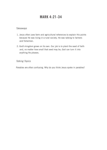# MARK 4:21-34

#### *Takeaways*

- 1. Jesus often uses farm and agricultural references to explain His points because He was living in a rural society. He was talking to farmers and fishermen.
- 2. God's kingdom grows on its own. Our job is to plant the seed of faith and, no matter how small that seed may be, God can turn it into anything He pleases.

## *Talking Topics*

Parables are often confusing. Why do you think Jesus spoke in parables?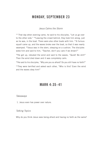## MONDAY, SEPTEMBER 23

#### *Jesus Calms the Storm*

<sup>35</sup> That day when evening came, he said to his disciples, "Let us go over to the other side." <sup>36</sup>Leaving the crowd behind, they took him along, just as he was, in the boat. There were also other boats with him. <sup>37</sup>A furious squall came up, and the waves broke over the boat, so that it was nearly swamped. 38Jesus was in the stern, sleeping on a cushion. The disciples woke him and said to him, "Teacher, don't you care if we drown?"

39He got up, rebuked the wind and said to the waves, "Quiet! Be still!" Then the wind died down and it was completely calm.

40He said to his disciples, "Why are you so afraid? Do you still have no faith?"

<sup>41</sup>They were terrified and asked each other, "Who is this? Even the wind and the waves obey him!"

## MARK 4:35-41

#### *Takeaways*

1. Jesus even has power over nature.

#### *Talking Topics*

Why do you think Jesus sees being afraid and having no faith as the same?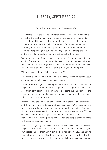## TUESDAY, SEPTEMBER 24

#### *Jesus Restores a Demon-Possessed Man*

<sup>1</sup>They went across the lake to the region of the Gerasenes. <sup>2</sup>When Jesus got out of the boat, a man with an impure spirit came from the tombs to meet him. 3This man lived in the tombs, and no one could bind him anymore, not even with a chain. <sup>4</sup>For he had often been chained hand and foot, but he tore the chains apart and broke the irons on his feet. No one was strong enough to subdue him. 5Night and day among the tombs and in the hills he would cry out and cut himself with stones.

6When he saw Jesus from a distance, he ran and fell on his knees in front of him. 7He shouted at the top of his voice, "What do you want with me, Jesus, Son of the Most High God? In God's name don't torture me!" <sup>8</sup>For Jesus had said to him, "Come out of this man, you impure spirit!"

9Then Jesus asked him, "What is your name?"

"My name is Legion," he replied, "for we are many." <sup>10</sup>And he begged Jesus again and again not to send them out of the area.

<sup>11</sup>A large herd of pigs was feeding on the nearby hillside. <sup>12</sup>The demons begged Jesus, "Send us among the pigs; allow us to go into them." <sup>13</sup>He gave them permission, and the impure spirits came out and went into the pigs. The herd, about two thousand in number, rushed down the steep bank into the lake and were drowned.

<sup>14</sup>Those tending the pigs ran off and reported this in the town and countryside, and the people went out to see what had happened. <sup>15</sup>When they came to Jesus, they saw the man who had been possessed by the legion of demons, sitting there, dressed and in his right mind; and they were afraid. <sup>16</sup>Those who had seen it told the people what had happened to the demon-possessed man—and told about the pigs as well. <sup>17</sup>Then the people began to plead with Jesus to leave their region.

18As Jesus was getting into the boat, the man who had been demon-possessed begged to go with him. 19Jesus did not let him, but said, "Go home to your own people and tell them how much the Lord has done for you, and how he has had mercy on you." <sup>20</sup>So the man went away and began to tell in the Decapolis how much Jesus had done for him. And all the people were amazed.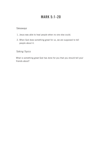# MARK 5:1-20

## *Takeaways*

- 1. Jesus was able to heal people when no one else could.
- 2. When God does something great for us, we are supposed to tell people about it.

## *Talking Topics*

What is something great God has done for you that you should tell your friends about?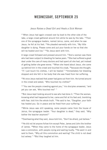## WEDNESDAY, SEPTEMBER 25

#### *Jesus Raises a Dead Girl and Heals a Sick Woman*

<sup>21</sup>When Jesus had again crossed over by boat to the other side of the lake, a large crowd gathered around him while he was by the lake. <sup>22</sup>Then one of the synagogue leaders, named Jairus, came, and when he saw Jesus, he fell at his feet. <sup>23</sup>He pleaded earnestly with him, "My little daughter is dying. Please come and put your hands on her so that she will be healed and live." <sup>24</sup>So Jesus went with him.

A large crowd followed and pressed around him. <sup>25</sup>And a woman was there who had been subject to bleeding for twelve years. <sup>26</sup>She had suffered a great deal under the care of many doctors and had spent all she had, yet instead of getting better she grew worse. <sup>27</sup>When she heard about Jesus, she came up behind him in the crowd and touched his cloak, <sup>28</sup>because she thought, "If I just touch his clothes, I will be healed." <sup>29</sup>Immediately her bleeding stopped and she felt in her body that she was freed from her suffering.

<sup>30</sup>At once Jesus realized that power had gone out from him. He turned around in the crowd and asked, "Who touched my clothes?"

 $31"$ You see the people crowding against you," his disciples answered, "and yet you can ask, 'Who touched me?' "

 $32$ But Jesus kept looking around to see who had done it.  $33$ Then the woman, knowing what had happened to her, came and fell at his feet and, trembling with fear, told him the whole truth. <sup>34</sup>He said to her, "Daughter, your faith has healed you. Go in peace and be freed from your suffering."

<sup>35</sup>While Jesus was still speaking, some people came from the house of Jairus, the synagogue leader. "Your daughter is dead," they said. "Why bother the teacher anymore?"

36Overhearing what they said, Jesus told him, "Don't be afraid; just believe."

<sup>37</sup>He did not let anyone follow him except Peter, James and John the brother of James. <sup>38</sup>When they came to the home of the synagogue leader, Jesus saw a commotion, with people crying and wailing loudly, <sup>39</sup>He went in and said to them, "Why all this commotion and wailing? The child is not dead but asleep." <sup>40</sup>But they laughed at him.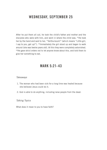## WEDNESDAY, SEPTEMBER 25

After he put them all out, he took the child's father and mother and the disciples who were with him, and went in where the child was. 41He took her by the hand and said to her, "Talitha koum!" (which means "Little girl, I say to you, get up!"). 42Immediately the girl stood up and began to walk around (she was twelve years old). At this they were completely astonished. <sup>43</sup>He gave strict orders not to let anyone know about this, and told them to give her something to eat.

## MARK 5:21-43

#### *Takeaways*

- 1. The woman who had been sick for a long time was healed because she believed Jesus could do it.
- 2. God is able to do anything, including raise people from the dead.

#### *Talking Topics*

What does it mean to you to have faith?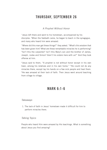# THURSDAY, SEPTEMBER 26

## *A Prophet Without Honor*

<sup>1</sup> Jesus left there and went to his hometown, accompanied by his disciples. 2When the Sabbath came, he began to teach in the synagogue, and many who heard him were amazed.

"Where did this man get these things?" they asked. "What's this wisdom that has been given him? What are these remarkable miracles he is performing? <sup>3</sup> Isn't this the carpenter? Isn't this Mary's son and the brother of James, Joseph, Judas and Simon? Aren't his sisters here with us?" And they took offense at him.

4Jesus said to them, "A prophet is not without honor except in his own town, among his relatives and in his own home." <sup>5</sup>He could not do any miracles there, except lay his hands on a few sick people and heal them. <sup>6</sup>He was amazed at their lack of faith. Then Jesus went around teaching from village to village.

## MARK 6:1-6

#### *Takeaways*

1. The lack of faith in Jesus' hometown made it difficult for him to perform miracles there.

#### *Talking Topics*

People who heard Him were amazed by His teachings. What is something about Jesus you find amazing?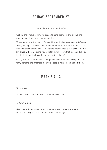# FRIDAY, SEPTEMBER 27

#### *Jesus Sends Out the Twelve*

<sup>7</sup> Calling the Twelve to him, he began to send them out two by two and gave them authority over impure spirits.

8These were his instructions: "Take nothing for the journey except a staff—no bread, no bag, no money in your belts. <sup>9</sup>Wear sandals but not an extra shirt. <sup>10</sup>Whenever you enter a house, stay there until you leave that town. <sup>11</sup>And if any place will not welcome you or listen to you, leave that place and shake the dust off your feet as a testimony against them."

 $12$ They went out and preached that people should repent.  $13$ They drove out many demons and anointed many sick people with oil and healed them.

# MARK 6:7-13

#### *Takeaways*

1. Jesus sent his disciples out to help do His work.

## *Talking Topics*

Like the disciples, we're called to help do Jesus' work in the world. What is one way you can help do Jesus' work today?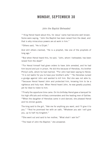## MONDAY, SEPTEMBER 30

#### *John the Baptist Beheaded*

<sup>14</sup> King Herod heard about this, for Jesus' name had become well known. Some were saying, "John the Baptist has been raised from the dead, and that is why miraculous powers are at work in him."

15Others said, "He is Elijah."

And still others claimed, "He is a prophet, like one of the prophets of long ago."

<sup>16</sup>But when Herod heard this, he said, "John, whom I beheaded, has been raised from the dead!"

<sup>17</sup>For Herod himself had given orders to have John arrested, and he had him bound and put in prison. He did this because of Herodias, his brother Philip's wife, whom he had married. <sup>18</sup>For John had been saying to Herod, "It is not lawful for you to have your brother's wife." <sup>19</sup>So Herodias nursed a grudge against John and wanted to kill him. But she was not able to, 20because Herod feared John and protected him, knowing him to be a righteous and holy man. When Herod heard John, he was greatly puzzled; yet he liked to listen to him.

 $21$ Finally the opportune time came. On his birthday Herod gave a banquet for his high officials and military commanders and the leading men of Galilee. 22When the daughter of Herodias came in and danced, she pleased Herod and his dinner guests.

The king said to the girl, "Ask me for anything you want, and I'll give it to you." 23And he promised her with an oath, "Whatever you ask I will give you, up to half my kingdom."

<sup>24</sup>She went out and said to her mother, "What shall I ask for?"

"The head of John the Baptist," she answered.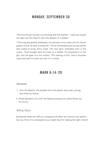# MONDAY, SEPTEMBER 30

 $25$ At once the girl hurried in to the king with the request: "I want you to give me right now the head of John the Baptist on a platter."

<sup>26</sup>The king was greatly distressed, but because of his oaths and his dinner guests, he did not want to refuse her. 27So he immediately sent an executioner with orders to bring John's head. The man went, beheaded John in the prison, <sup>28</sup>and brought back his head on a platter. He presented it to the girl, and she gave it to her mother. 29On hearing of this, John's disciples came and took his body and laid it in a tomb.

## MARK 6:14-29

#### *Takeaways*

- 1. John the Baptist, the prophet who told people Jesus was coming, was killed by Herod.
- 2. Herod wanted to kill John the Baptist because he called Herod out for his sin.

### *Talking Topics*

Sometimes there are difficult consequences when we choose to be faithful. Can you think of a consequence you might face for making the right choice?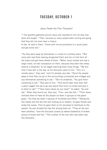## TUESDAY, OCTOBER 1

### *Jesus Feeds the Five Thousand*

<sup>30</sup> The apostles gathered around Jesus and reported to him all they had done and taught. 31Then, because so many people were coming and going that they did not even have a chance to eat, he said to them, "Come with me by yourselves to a quiet place and get some rest."

 $32$ So they went away by themselves in a boat to a solitary place.  $33$ But many who saw them leaving recognized them and ran on foot from all the towns and got there ahead of them. <sup>34</sup>When Jesus landed and saw a large crowd, he had compassion on them, because they were like sheep without a shepherd. So he began teaching them many things. 35By this time it was late in the day, so his disciples came to him. "This is a remote place," they said, "and it's already very late. <sup>36</sup>Send the people away so that they can go to the surrounding countryside and villages and buy themselves something to eat." <sup>37</sup>But he answered, "You give them something to eat." They said to him, "That would take more than half a year's wages! Are we to go and spend that much on bread and give it to them to eat?" <sup>38</sup>"How many loaves do you have?" he asked. "Go and see." When they found out, they said, "Five—and two fish," <sup>39</sup>Then Jesus directed them to have all the people sit down in groups on the green grass. 40So they sat down in groups of hundreds and ffties. 41Taking the five loaves and the two fish and looking up to heaven, he gave thanks and broke the loaves. Then he gave them to his disciples to distribute to the people. He also divided the two fish among them all. <sup>42</sup>They all ate and were satisfied. <sup>43</sup> and the disciples picked up twelve basketfuls of broken pieces of bread and fsh. 44The number of the men who had eaten was fve thousand.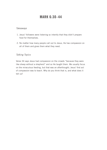# MARK 6:30-44

### *Takeaways*

- 1. Jesus' followers were listening so intently that they didn't prepare food for themselves.
- 2. No matter how many people call out to Jesus, He has compassion on all of them and gives them what they need.

## *Talking Topics*

Verse 34 says Jesus had compassion on the crowds "because they were like sheep without a shepherd" and so He taught them. We usually focus on the miraculous feeding, but that was an afterthought; Jesus' first act of compassion was to teach. Why do you think that is, and what does it tell us?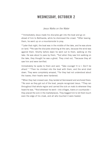## WEDNESDAY, OCTOBER 2

### *Jesus Walks on the Water*

4 5Immediately Jesus made his disciples get into the boat and go on ahead of him to Bethsaida, while he dismissed the crowd. 46After leaving them, he went up on a mountainside to pray.

47Later that night, the boat was in the middle of the lake, and he was alone on land. 48He saw the disciples straining at the oars, because the wind was against them. Shortly before dawn he went out to them, walking on the lake. He was about to pass by them, <sup>49</sup>but when they saw him walking on the lake, they thought he was a ghost. They cried out, <sup>50</sup>because they all saw him and were terrifed.

Immediately he spoke to them and said, "Take courage! It is I. Don't be afraid." <sup>51</sup>Then he climbed into the boat with them, and the wind died down. They were completely amazed, <sup>52</sup>for they had not understood about the loaves; their hearts were hardened.

53When they had crossed over, they landed at Gennesaret and anchored there. <sup>54</sup>As soon as they got out of the boat, people recognized Jesus. <sup>55</sup>They ran throughout that whole region and carried the sick on mats to wherever they heard he was. <sup>56</sup>And wherever he went—into villages, towns or countryside they placed the sick in the marketplaces. They begged him to let them touch even the edge of his cloak, and all who touched it were healed.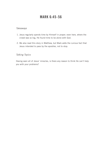# MARK 6:45-56

### *Takeaways*

- 1. Jesus regularly spends time by Himself in prayer; even here, where the crowd was so big, He found time to be alone with God.
- 2. We also read this story in Matthew, but Mark adds the curious fact that Jesus intended to pass by the apostles, not to stop.

## *Talking Topics*

Having seen all of Jesus' miracles, is there any reason to think He can't help you with your problems?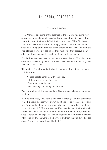# THURSDAY, OCTOBER 3

### *That Which De*f*les*

<sup>1</sup>The Pharisees and some of the teachers of the law who had come from Jerusalem gathered around Jesus <sup>2</sup>and saw some of his disciples eating food with hands that were defiled, that is, unwashed. <sup>3</sup>(The Pharisees and all the Jews do not eat unless they give their hands a ceremonial washing, holding to the tradition of the elders. <sup>4</sup>When they come from the marketplace they do not eat unless they wash. And they observe many other traditions, such as the washing of cups, pitchers and kettles.)

5So the Pharisees and teachers of the law asked Jesus, "Why don't your disciples live according to the tradition of the elders instead of eating their food with defled hands?"

<sup>6</sup>He replied, "Isaiah was right when he prophesied about you hypocrites; as it is written:

"'These people honor me with their lips, but their hearts are far from me. 7They worship me in vain; their teachings are merely human rules.'

<sup>8</sup>You have let go of the commands of God and are holding on to human traditions."

<sup>9</sup>And he continued, "You have a fine way of setting aside the commands of God in order to observe your own traditions! 10For Moses said, 'Honor your father and mother,' and, 'Anyone who curses their father or mother is to be put to death.' <sup>11</sup>But you say that if anyone declares that what might have been used to help their father or mother is Corban (that is, devoted to  $God)$ — <sup>12</sup>then you no longer let them do anything for their father or mother. <sup>13</sup>Thus you nullify the word of God by your tradition that you have handed down. And you do many things like that."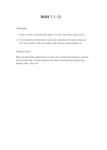# MARK 7:1-13

### *Takeaways*

- 1. Jesus is more concerned with what is in your heart than what you do.
- 2. It's important to follow God's rules and understand the reason God put the rule in place. God only makes rules that are loving towards us.

## *Talking Topics*

When the Pharisees talked down to Jesus for not following religious customs, do you think they did that because they were concerned about what God wanted? Why / why not?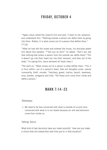# FRIDAY, OCTOBER 4

<sup>14</sup> Again Jesus called the crowd to him and said, "Listen to me, everyone, and understand this. <sup>15</sup>Nothing outside a person can defile them by going into them. Rather, it is what comes out of a person that defles them."  $[16]$  [a]

<sup>17</sup>After he had left the crowd and entered the house, his disciples asked him about this parable. <sup>18"</sup>Are you so dull?" he asked. "Don't you see that nothing that enters a person from the outside can defile them? <sup>19</sup>For it doesn't go into their heart but into their stomach, and then out of the body." (In saying this, Jesus declared all foods clean.)

 $20$ He went on: "What comes out of a person is what defiles them.  $21$ For it is from within, out of a person's heart, that evil thoughts come—sexual immorality, theft, murder, <sup>22</sup>adultery, greed, malice, deceit, lewdness, envy, slander, arrogance and folly. <sup>23</sup>All these evils come from inside and defle a person."

## MARK 7:14 -23

#### *Takeaways*

 1. We need to be less concerned with what is outside of us and more concerned with what is in our hearts because sin and bad decisions come from inside us.

#### *Talking Topics*

What kind of bad decisions have you made recently? How can you make a choice that will please God next time you're in that situation?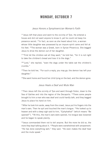# MONDAY, OCTOBER 7

### *Jesus Honors a Syrophoenician Woman's Faith*

 $24$  Jesus left that place and went to the vicinity of Tyre. He entered a house and did not want anyone to know it; yet he could not keep his presence secret. <sup>25</sup>In fact, as soon as she heard about him, a woman whose little daughter was possessed by an impure spirit came and fell at his feet. 26The woman was a Greek, born in Syrian Phoenicia. She begged Jesus to drive the demon out of her daughter.

 $27$ "First let the children eat all they want." he told her, "for it is not right to take the children's bread and toss it to the dogs."

28"Lord," she replied, "even the dogs under the table eat the children's crumbs."

 $29$ Then he told her, "For such a reply, you may go; the demon has left your daughter."

30She went home and found her child lying on the bed, and the demon gone.

### *Jesus Heals a Deaf and Mute Man*

 $31$ Then Jesus left the vicinity of Tyre and went through Sidon, down to the Sea of Galilee and into the region of the Decapolis. <sup>32</sup>There some people brought to him a man who was deaf and could hardly talk, and they begged Jesus to place his hand on him.

33 After he took him aside, away from the crowd, Jesus put his fingers into the man's ears. Then he spit and touched the man's tongue. <sup>34</sup>He looked up to heaven and with a deep sigh said to him, "Ephphatha!" (which means "Be opened!"). 35At this, the man's ears were opened, his tongue was loosened and he began to speak plainly.

36Jesus commanded them not to tell anyone. But the more he did so, the more they kept talking about it. <sup>37</sup> People were overwhelmed with amazement. "He has done everything well," they said. "He even makes the deaf hear and the mute speak."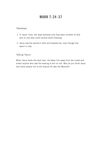# MARK 7:24-37

### *Takeaways*

- 1. In Jesus' time, the Jews believed only they were children of God and no one else could receive God's blessing.
- 2. Jesus saw the woman's faith and blessed her, even though she wasn't a Jew.

## *Talking Topics*

When Jesus heals the deaf man, He takes him away from the crowd and orders anyone who saw the healing to tell no one. Why do you think Jesus told some people not to tell anyone He was the Messiah?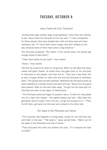# TUESDAY, OCTOBER 8

### *Jesus Feeds the Four Thousand*

<sup>1</sup> During those days another large crowd gathered. Since they had nothing to eat, Jesus called his disciples to him and said, <sup>2"</sup>I have compassion for these people; they have already been with me three days and have nothing to eat. 3If I send them home hungry, they will collapse on the way, because some of them have come a long distance."

4His disciples answered, "But where in this remote place can anyone get enough bread to feed them?"

5"How many loaves do you have?" Jesus asked.

"Seven," they replied.

<sup>6</sup>He told the crowd to sit down on the ground. When he had taken the seven loaves and given thanks, he broke them and gave them to his disciples to distribute to the people, and they did so. <sup>7</sup>They had a few small fish as well; he gave thanks for them also and told the disciples to distribute them. <sup>8</sup>The people ate and were satisfied. Afterward the disciples picked up seven basketfuls of broken pieces that were left over. <sup>9</sup>About four thousand were present. After he had sent them away, <sup>10</sup>he got into the boat with his disciples and went to the region of Dalmanutha.

<sup>11</sup>The Pharisees came and began to question Jesus. To test him, they asked him for a sign from heaven. <sup>12</sup>He sighed deeply and said, "Why does this generation ask for a sign? Truly I tell you, no sign will be given to it." 13Then he left them, got back into the boat and crossed to the other side.

## *The Yeast of the Pharisees and Herod*

<sup>14</sup>The disciples had forgotten to bring bread, except for one loaf they had with them in the boat. <sup>15"</sup>Be careful," Jesus warned them. "Watch out for the yeast of the Pharisees and that of Herod."

<sup>16</sup>They discussed this with one another and said. "It is because we have no bread."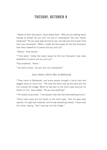# TUESDAY, OCTOBER 8

<sup>17</sup> Aware of their discussion, Jesus asked them: "Why are you talking about having no bread? Do you still not see or understand? Are your hearts hardened? <sup>18</sup>Do you have eyes but fail to see, and ears but fail to hear? And don't you remember? <sup>19</sup>When I broke the five loaves for the five thousand, how many basketfuls of pieces did you pick up?"

"Twelve," they replied.

<sup>20</sup>"And when I broke the seven loaves for the four thousand, how many basketfuls of pieces did you pick up?"

They answered, "Seven."

21He said to them, "Do you still not understand?"

#### *Jesus Heals a Blind Man at Bethsaida*

<sup>22</sup>They came to Bethsaida, and some people brought a blind man and begged Jesus to touch him. 23He took the blind man by the hand and led him outside the village. When he had spit on the man's eyes and put his hands on him, Jesus asked, "Do you see anything?"

 $24$ He looked up and said, "I see people; they look like trees walking around."

<sup>25</sup>Once more Jesus put his hands on the man's eyes. Then his eyes were opened, his sight was restored, and he saw everything clearly. <sup>26</sup> Jesus sent him home, saying, "Don't even go into the village."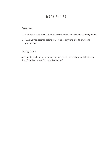# MARK 8:1-26

### *Takeaways*

- 1. Even Jesus' best friends didn't always understand what He was trying to do.
- 2. Jesus warned against looking to anyone or anything else to provide for you but God.

## *Talking Topics*

Jesus performed a miracle to provide food for all those who were listening to Him. What is one way God provides for you?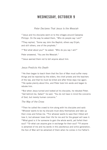## WEDNESDAY, OCTOBER 9

### *Peter Declares That Jesus Is the Messiah*

 $27$  Jesus and his disciples went on to the villages around Caesarea Philippi. On the way he asked them, "Who do people say I am?"

28They replied, "Some say John the Baptist: others say Elijah: and still others, one of the prophets."

29"But what about you?" he asked. "Who do you say I am?"

Peter answered, "You are the Messiah."

30Jesus warned them not to tell anyone about him.

### *Jesus Predicts His Death*

 $31$ He then began to teach them that the Son of Man must suffer many things and be rejected by the elders, the chief priests and the teachers of the law, and that he must be killed and after three days rise again. <sup>32</sup>He spoke plainly about this, and Peter took him aside and began to rebuke him.

<sup>33</sup>But when Jesus turned and looked at his disciples, he rebuked Peter. "Get behind me, Satan!" he said. "You do not have in mind the concerns of God, but merely human concerns."

#### *The Way of the Cross*

<sup>34</sup>Then he called the crowd to him along with his disciples and said: "Whoever wants to be my disciple must deny themselves and take up their cross and follow me. <sup>35</sup>For whoever wants to save their life[a] will lose it, but whoever loses their life for me and for the gospel will save it. <sup>36</sup>What good is it for someone to gain the whole world, yet forfeit their soul? <sup>37</sup>Or what can anyone give in exchange for their soul? <sup>38</sup>If anyone is ashamed of me and my words in this adulterous and sinful generation, the Son of Man will be ashamed of them when he comes in his Father's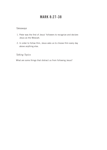# MARK 8:27-38

## *Takeaways*

- 1. Peter was the frst of Jesus' followers to recognize and declare Jesus as the Messiah.
- 2. In order to follow Him, Jesus asks us to choose Him every day above anything else.

## *Talking Topics*

What are some things that distract us from following Jesus?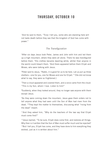# THURSDAY, OCTOBER 10

<sup>1</sup> And he said to them, "Truly I tell you, some who are standing here will not taste death before they see that the kingdom of God has come with power."

### *The Trans*f*guration*

<sup>2</sup>After six days Jesus took Peter, James and John with him and led them up a high mountain, where they were all alone. There he was transfgured before them. 3His clothes became dazzling white, whiter than anyone in the world could bleach them. 4And there appeared before them Elijah and Moses, who were talking with Jesus.

<sup>5</sup>Peter said to Jesus, "Rabbi, it is good for us to be here. Let us put up three shelters—one for you, one for Moses and one for Elijah." <sup>6</sup>(He did not know what to say, they were so frightened.)

<sup>7</sup>Then a cloud appeared and covered them, and a voice came from the cloud: "This is my Son, whom I love. Listen to him!"

<sup>8</sup>Suddenly, when they looked around, they no longer saw anyone with them except Jesus.

9As they were coming down the mountain, Jesus gave them orders not to tell anyone what they had seen until the Son of Man had risen from the dead. 10They kept the matter to themselves, discussing what "rising from the dead" meant.

<sup>11</sup>And they asked him, "Why do the teachers of the law say that Elijah must come frst?"

<sup>12</sup> Jesus replied, "To be sure, Elijah does come first, and restores all things. Why then is it written that the Son of Man must suffer much and be rejected? <sup>13</sup>But I tell you, Elijah has come, and they have done to him everything they wished, just as it is written about him."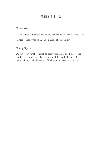# MARK 9:1-13

### *Takeaways*

- 1. Jesus met with Moses and Elijah, who had been dead for many years.
- 2. God repeats what He said about Jesus at His baptism.

## *Talking Topics*

We don't know what Jesus talked about with Moses and Elijah. If you had to guess what they talked about, what do you think it was? (If it helps to look up who Moses and Elijah were, go ahead and do that.)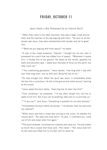# FRIDAY, OCTOBER 11

### *Jesus Heals a Boy Possessed by an Impure Spirit*

<sup>14</sup>When they came to the other disciples, they saw a large crowd around them and the teachers of the law arguing with them. 15As soon as all the people saw Jesus, they were overwhelmed with wonder and ran to greet him.

16"What are you arguing with them about?" he asked.

<sup>17</sup>A man in the crowd answered, "Teacher, I brought you my son, who is possessed by a spirit that has robbed him of speech. 18Whenever it seizes him, it throws him to the ground. He foams at the mouth, gnashes his teeth and becomes rigid. I asked your disciples to drive out the spirit, but they could not."

19"You unbelieving generation," Jesus replied, "how long shall I stay with you? How long shall I put up with you? Bring the boy to me."

<sup>20</sup>So they brought him. When the spirit saw Jesus, it immediately threw the boy into a convulsion. He fell to the ground and rolled around, foaming at the mouth.

 $21$  Jesus asked the boy's father, "How long has he been like this?"

"From childhood," he answered, <sup>22"</sup>It has often thrown him into fire or water to kill him. But if you can do anything, take pity on us and help us."

<sup>23</sup>"'If you can'?" said Jesus. "Everything is possible for one who believes."

24Immediately the boy's father exclaimed, "I do believe; help me overcome my unbelief!"

<sup>25</sup>When Jesus saw that a crowd was running to the scene, he rebuked the impure spirit. "You deaf and mute spirit," he said, "I command you, come out of him and never enter him again."

 $26$ The spirit shrieked, convulsed him violently and came out. The boy looked so much like a corpse that many said, "He's dead." <sup>27</sup>But Jesus took him by the hand and lifted him to his feet, and he stood up.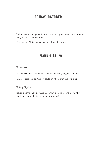# FRIDAY, OCTOBER 11

28After Jesus had gone indoors, his disciples asked him privately, "Why couldn't we drive it out?"

29He replied, "This kind can come out only by prayer."

## MARK 9:14-29

### *Takeaways*

- 1. The disciples were not able to drive out the young boy's impure spirit.
- 2. Jesus said this boy's spirit could only be driven out by prayer.

### *Talking Topics*

Prayer is very powerful. Jesus made that clear in today's story. What is one thing you would like us to be praying for?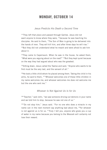# MONDAY, OCTOBER 14

### *Jesus Predicts His Death a Second Time*

<sup>30</sup>They left that place and passed through Galilee. Jesus did not want anyone to know where they were, <sup>31</sup>because he was teaching his disciples. He said to them, "The Son of Man is going to be delivered into the hands of men. They will kill him, and after three days he will rise."  $32$ But they did not understand what he meant and were afraid to ask him about it.

 $33$ They came to Capernaum. When he was in the house, he asked them, "What were you arguing about on the road?" 34But they kept quiet because on the way they had argued about who was the greatest.

<sup>35</sup>Sitting down, Jesus called the Twelve and said, "Anyone who wants to be first must be the very last, and the servant of all."

<sup>36</sup>He took a little child whom he placed among them. Taking the child in his arms, he said to them, <sup>37</sup> "Whoever welcomes one of these little children in my name welcomes me; and whoever welcomes me does not welcome me but the one who sent me."

### *Whoever Is Not Against Us Is for Us*

<sup>38</sup> "Teacher," said John, "we saw someone driving out demons in your name and we told him to stop, because he was not one of us."

39"Do not stop him," Jesus said. "For no one who does a miracle in my name can in the next moment say anything bad about me, <sup>40</sup>for whoever is not against us is for us.  $41$ Truly I tell you, anyone who gives you a cup of water in my name because you belong to the Messiah will certainly not lose their reward.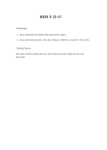# MARK 9:30-41

## *Takeaways*

- 1. Jesus predicted His death and resurrection again.
- 2. Jesus welcomed anyone, who was doing so faithfully, to work in His name.

## *Talking Topics*

Are there certain people who you think Jesus wouldn't want to use to do His work?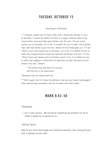# TUESDAY, OCTOBER 15

## *Causing to Stumble*

42 If anyone causes one of these little ones—those who believe in me to stumble, it would be better for them if a large millstone were hung around their neck and they were thrown into the sea. <sup>43</sup>If your hand causes you to stumble, cut it off. It is better for you to enter life maimed than with two hands to go into hell, where the fire never goes out. [44] [a] 45And if your foot causes you to stumble, cut it off. It is better for you to enter life crippled than to have two feet and be thrown into hell. [46] [b] <sup>47</sup>And if your eye causes you to stumble, pluck it out. It is better for you to enter the kingdom of God with one eye than to have two eyes and be thrown into hell, <sup>48</sup>where

"'the worms that eat them do not die, and the fire is not quenched.'

49Everyone will be salted with fire.

50"Salt is good, but if it loses its saltiness, how can you make it salty again? Have salt among yourselves, and be at peace with each other."

## MARK 9:42-50

#### *Takeaways*

 1. Sin is very serious. We should do everything we possibly can do to make it harder for ourselves to sin.

### *Talking Topics*

Why do you think Jesus gave such extreme examples, like cutting off your foot or poking out your eye?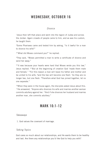# WEDNESDAY, OCTOBER 16

### *Divorce*

<sup>1</sup> Jesus then left that place and went into the region of Judea and across the Jordan. Again crowds of people came to him, and as was his custom, he taught them.

2Some Pharisees came and tested him by asking, "Is it lawful for a man to divorce his wife?"

3"What did Moses command you?" he replied.

4They said, "Moses permitted a man to write a certifcate of divorce and send her away."

<sup>5"</sup>It was because your hearts were hard that Moses wrote you this law," Jesus replied. 6"But at the beginning of creation God 'made them male and female.' 7'For this reason a man will leave his father and mother and be united to his wife, 8and the two will become one flesh.' So they are no longer two, but one flesh. <sup>9</sup>Therefore what God has joined together, let no one separate."

<sup>10</sup>When they were in the house again, the disciples asked Jesus about this.  $11$ He answered, "Anyone who divorces his wife and marries another woman commits adultery against her. 12And if she divorces her husband and marries another man, she commits adultery."

## MARK 10:1-12

#### *Takeaways*

1. God values the covenant of marriage.

### *Talking Topics*

God cares so much about our relationships, and He wants them to be healthy and last. Are there any relationships you'd like God to help you with?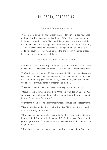# THURSDAY, OCTOBER 17

### *The Little Children and Jesus*

<sup>13</sup> People were bringing little children to Jesus for him to place his hands on them, but the disciples rebuked them. 14When Jesus saw this, he was indignant. He said to them, "Let the little children come to me, and do not hinder them, for the kingdom of God belongs to such as these. <sup>15</sup>Truly I tell you, anyone who will not receive the kingdom of God like a little child will never enter it." 16And he took the children in his arms, placed his hands on them and blessed them.

### *The Rich and the Kingdom of God*

 $17$ As Jesus started on his way, a man ran up to him and fell on his knees before him. "Good teacher," he asked, "what must I do to inherit eternal life?"

18"Why do you call me good?" Jesus answered. "No one is good-except God alone. 19You know the commandments: 'You shall not murder, you shall not commit adultery, you shall not steal, you shall not give false testimony, you shall not defraud, honor your father and mother.'"

 $20$ "Teacher," he declared, "all these I have kept since I was a boy."

21Jesus looked at him and loved him. "One thing you lack," he said. "Go, sell everything you have and give to the poor, and you will have treasure in heaven. Then come, follow me."

 $22$ At this the man's face fell. He went away sad, because he had great wealth.

 $23$  Jesus looked around and said to his disciples, "How hard it is for the rich to enter the kingdom of God!"

 $24$ The disciples were amazed at his words. But Jesus said again, "Children, how hard it is[b] to enter the kingdom of God! <sup>25</sup>It is easier for a camel to go through the eye of a needle than for someone who is rich to enter the kingdom of God."

 $26$ The disciples were even more amazed, and said to each other, "Who then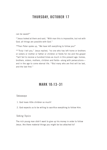# THURSDAY, OCTOBER 17

can be saved?"

 $27$  Jesus looked at them and said, "With man this is impossible, but not with God; all things are possible with God."

28Then Peter spoke up, "We have left everything to follow you!"

<sup>29</sup>"Truly I tell you," Jesus replied, "no one who has left home or brothers or sisters or mother or father or children or felds for me and the gospel  $30$ will fail to receive a hundred times as much in this present age: homes, brothers, sisters, mothers, children and felds—along with persecutions and in the age to come eternal life.  $31$ But many who are first will be last, and the last first."

# MARK 10:13-31

#### *Takeaways*

- 1. God loves little children so much!
- 2. God expects us to be willing to sacrifce everything to follow Him.

### *Talking Topics*

The rich young man didn't want to give up his money in order to follow Jesus. Are there material things you might be too attached to?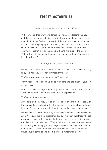# FRIDAY, OCTOBER 18

### *Jesus Predicts His Death a Third Time*

 $32$  They were on their way up to Jerusalem, with Jesus leading the way. and the disciples were astonished, while those who followed were afraid. Again he took the Twelve aside and told them what was going to happen to him. 33"We are going up to Jerusalem," he said, "and the Son of Man will be delivered over to the chief priests and the teachers of the law. They will condemn him to death and will hand him over to the Gentiles, <sup>34</sup>who will mock him and spit on him, flog him and kill him. Three days later he will rise."

### *The Request of James and John*

<sup>35</sup>Then James and John, the sons of Zebedee, came to him. "Teacher," they said, "we want you to do for us whatever we ask."

36"What do you want me to do for you?" he asked.

<sup>37</sup>They replied, "Let one of us sit at your right and the other at your left in your glory."

<sup>38</sup> "You don't know what you are asking," Jesus said. "Can you drink the cup I drink or be baptized with the baptism I am baptized with?"

39"We can," they answered.

Jesus said to them, "You will drink the cup I drink and be baptized with the baptism I am baptized with, <sup>40</sup>but to sit at my right or left is not for me to grant. These places belong to those for whom they have been prepared."

41When the ten heard about this, they became indignant with James and John. <sup>42</sup> Jesus called them together and said, "You know that those who are regarded as rulers of the Gentiles lord it over them, and their high officials exercise authority over them. <sup>43</sup>Not so with you. Instead, whoever wants to become great among you must be your servant, 44and whoever wants to be first must be slave of all. <sup>45</sup>For even the Son of Man did not come to be served, but to serve, and to give his life as a ransom for many."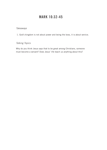# MARK 10:32-45

## *Takeaways*

1. God's kingdom is not about power and being the boss, it is about service.

## *Talking Topics*

Why do you think Jesus says that to be great among Christians, someone must become a servant? Does Jesus' life teach us anything about this?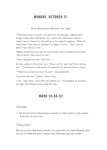# MONDAY, OCTOBER 21

### *Blind Bartimaeus Receives His Sight*

46 Then they came to Jericho. As Jesus and his disciples, together with a large crowd, were leaving the city, a blind man, Bartimaeus (which means "son of Timaeus"), was sitting by the roadside begging. 47When he heard that it was Jesus of Nazareth, he began to shout, "Jesus, Son of David, have mercy on me!"

<sup>48</sup> Many rebuked him and told him to be quiet, but he shouted all the more, "Son of David, have mercy on me!"

49Jesus stopped and said, "Call him."

So they called to the blind man, "Cheer up! On your feet! He's calling you." 50Throwing his cloak aside, he jumped to his feet and came to Jesus.

51"What do you want me to do for you?" Jesus asked him.

The blind man said, "Rabbi, I want to see."

52"Go," said Jesus, "your faith has healed you." Immediately he received his sight and followed Jesus along the road.

## MARK 10:46-52

#### *Takeaways*

 1. We should not be embarrassed to express our faith publicly. God answers those who cry out to him.

### *Talking Topics*

Why do you think Bartimaeus refused to be quiet when the crowd following Jesus told him to? What was Jesus' reaction when Bartimaeus got even louder?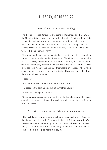# TUESDAY, OCTOBER 22

#### *Jesus Comes to Jerusalem as King*

<sup>1</sup> As they approached Jerusalem and came to Bethphage and Bethany at the Mount of Olives, Jesus sent two of his disciples, <sup>2</sup>saying to them, "Go to the village ahead of you, and just as you enter it, you will find a colt tied there, which no one has ever ridden. Untie it and bring it here, <sup>3</sup>lf anyone asks you, 'Why are you doing this?' say, 'The Lord needs it and will send it back here shortly.'"

<sup>4</sup>They went and found a colt outside in the street, tied at a doorway. As they untied it, <sup>5</sup>some people standing there asked, "What are you doing, untying that colt?" 6They answered as Jesus had told them to, and the people let them go. <sup>7</sup>When they brought the colt to Jesus and threw their cloaks over it, he sat on it. <sup>8</sup>Many people spread their cloaks on the road, while others spread branches they had cut in the fields. <sup>9</sup>Those who went ahead and those who followed shouted,

"Hosanna!"

"Blessed is he who comes in the name of the Lord!"

10"Blessed is the coming kingdom of our father David!"

"Hosanna in the highest heaven!"

<sup>11</sup> Jesus entered Jerusalem and went into the temple courts. He looked around at everything, but since it was already late, he went out to Bethany with the Twelve.

### *Jesus Curses a Fig Tree and Clears the Temple Courts*

<sup>12</sup>The next day as they were leaving Bethany, Jesus was hungry. <sup>13</sup>Seeing in the distance a fig tree in leaf, he went to find out if it had any fruit. When he reached it, he found nothing but leaves, because it was not the season for figs. <sup>14</sup>Then he said to the tree, "May no one ever eat fruit from you again." And his disciples heard him say it.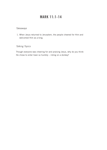# MARK 11:1-14

## *Takeaways*

 1. When Jesus returned to Jerusalem, the people cheered for Him and welcomed Him as a king.

## *Talking Topics*

Though everyone was cheering for and praising Jesus, why do you think He chose to enter town so humbly – riding on a donkey?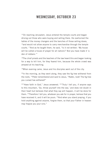# WEDNESDAY, OCTOBER 23

<sup>15</sup> On reaching Jerusalem, Jesus entered the temple courts and began driving out those who were buying and selling there. He overturned the tables of the money changers and the benches of those selling doves, <sup>16</sup>and would not allow anyone to carry merchandise through the temple courts. 17And as he taught them, he said, "Is it not written: 'My house will be called a house of prayer for all nations'? But you have made it 'a den of robbers.'"

<sup>18</sup>The chief priests and the teachers of the law heard this and began looking for a way to kill him, for they feared him, because the whole crowd was amazed at his teaching.

<sup>19</sup>When evening came, Jesus and his disciples went out of the city.

 $20$ In the morning, as they went along, they saw the fig tree withered from the roots. <sup>21</sup> Peter remembered and said to Jesus, "Rabbi, look! The fig tree you cursed has withered!"

 $22$ "Have faith in God," Jesus answered.  $23$ "Truly I tell you, if anyone says to this mountain, 'Go, throw yourself into the sea,' and does not doubt in their heart but believes that what they say will happen, it will be done for them. 24Therefore I tell you, whatever you ask for in prayer, believe that you have received it, and it will be yours. <sup>25</sup>And when you stand praying, if you hold anything against anyone, forgive them, so that your Father in heaven may forgive you your sins."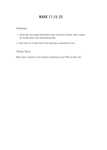# MARK 11:15-25

### *Takeaways*

- 1. Jesus was very angry that people were using the temple, God's house, for things other than worshipping God.
- 2. God calls us to have faith that anything is possible for him.

### *Talking Topics*

Were Jesus' actions in the temple surprising to you? Why or why not?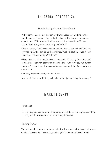# THURSDAY, OCTOBER 24

### *The Authority of Jesus Questioned*

 $27$  They arrived again in Jerusalem, and while Jesus was walking in the temple courts, the chief priests, the teachers of the law and the elders came to him. 28"By what authority are you doing these things?" they asked. "And who gave you authority to do this?"

<sup>29</sup> Jesus replied, "I will ask you one question. Answer me, and I will tell you by what authority I am doing these things. <sup>30</sup>John's baptism—was it from heaven, or of human origin? Tell me!"

 $31$ They discussed it among themselves and said, "If we say, 'From heaven,' he will ask, 'Then why didn't you believe him?' <sup>32</sup>But if we say, 'Of human origin' …" (They feared the people, for everyone held that John really was a prophet.)

33So they answered Jesus, "We don't know."

Jesus said, "Neither will I tell you by what authority I am doing these things."

### MARK 11:27-33

#### *Takeaways*

 1. The religious leaders were often trying to trick Jesus into saying something bad, but He always knew the perfect way to answer.

#### *Talking Topics*

The religious leaders were often questioning Jesus and trying to get in the way of what He was doing. These days, what gets in the way of Jesus' work?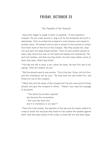# FRIDAY, OCTOBER 25

### *The Parable of the Tenants*

<sup>1</sup> Jesus then began to speak to them in parables: "A man planted a vineyard. He put a wall around it, dug a pit for the winepress and built a watchtower. Then he rented the vineyard to some farmers and moved to another place. 2At harvest time he sent a servant to the tenants to collect from them some of the fruit of the vineyard. 3But they seized him, beat him and sent him away empty-handed. 4Then he sent another servant to them; they struck this man on the head and treated him shamefully. <sup>5</sup>He sent still another, and that one they killed. He sent many others; some of them they beat, others they killed.

6"He had one left to send, a son, whom he loved. He sent him last of all, saying, 'They will respect my son.'

7"But the tenants said to one another, 'This is the heir. Come, let's kill him, and the inheritance will be ours.' <sup>8</sup>So they took him and killed him, and threw him out of the vineyard.

9"What then will the owner of the vineyard do? He will come and kill those tenants and give the vineyard to others.  $10$ Haven't you read this passage of Scripture:

"'The stone the builders rejected has become the cornerstone; 11the Lord has done this. and it is marvelous in our eyes'?"

<sup>12</sup>Then the chief priests, the teachers of the law and the elders looked for a way to arrest him because they knew he had spoken the parable against them. But they were afraid of the crowd; so they left him and went away.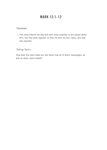# MARK 12:1-12

### *Takeaways*

 1. This story refects the way God sent many prophets to tell people about Him, but they were rejected, so then He sent his Son, Jesus, who was also rejected.

### *Talking Topics*

How does this story make you feel about how all of God's messengers, as well as Jesus, were treated?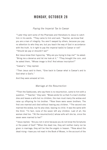# MONDAY, OCTOBER 28

### *Paying the Imperial Tax to Caesar*

<sup>13</sup> Later they sent some of the Pharisees and Herodians to Jesus to catch him in his words. <sup>14</sup>They came to him and said, "Teacher, we know that you are a man of integrity. You aren't swayed by others, because you pay no attention to who they are; but you teach the way of God in accordance with the truth. Is it right to pay the imperial tax[b] to Caesar or not? 15Should we pay or shouldn't we?"

But Jesus knew their hypocrisy. "Why are you trying to trap me?" he asked. "Bring me a denarius and let me look at it." 16They brought the coin, and he asked them, "Whose image is this? And whose inscription?"

"Caesar's," they replied.

<sup>17</sup>Then Jesus said to them, "Give back to Caesar what is Caesar's and to God what is God's."

And they were amazed at him.

### *Marriage at the Resurrection*

 $18$ Then the Sadducees, who say there is no resurrection, came to him with a question. 19"Teacher," they said, "Moses wrote for us that if a man's brother dies and leaves a wife but no children, the man must marry the widow and raise up offspring for his brother. 20Now there were seven brothers. The first one married and died without leaving any children. <sup>21</sup>The second one married the widow, but he also died, leaving no child. It was the same with the third. 22In fact, none of the seven left any children. Last of all, the woman died too. <sup>23</sup>At the resurrection<sup>[c]</sup> whose wife will she be, since the seven were married to her?"

<sup>24</sup> Jesus replied, "Are you not in error because you do not know the Scriptures or the power of God? <sup>25</sup>When the dead rise, they will neither marry nor be given in marriage; they will be like the angels in heaven. <sup>26</sup>Now about the dead rising—have you not read in the Book of Moses, in the account of the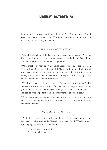### MONDAY, OCTOBER 28

burning bush, how God said to him, 'I am the God of Abraham, the God of Isaac, and the God of Jacob'[d]? 27He is not the God of the dead, but of the living. You are badly mistaken!"

### *The Greatest Commandment*

28One of the teachers of the law came and heard them debating. Noticing that Jesus had given them a good answer, he asked him, "Of all the commandments, which is the most important?"

<sup>29</sup>"The most important one," answered Jesus, "is this: 'Hear, O Israel: The Lord our God, the Lord is one.[e] <sup>30</sup>Love the Lord your God with all your heart and with all your soul and with all your mind and with all your strength.'[f] <sup>31</sup>The second is this: 'Love your neighbor as yourself.'[g] There is no commandment greater than these."

 $32^{\circ}$ Well said, teacher." the man replied. "You are right in saving that God is one and there is no other but him. 33To love him with all your heart, with all your understanding and with all your strength, and to love your neighbor as yourself is more important than all burnt offerings and sacrifices."

<sup>34</sup>When Jesus saw that he had answered wisely, he said to him, "You are not far from the kingdom of God." And from then on no one dared ask him any more questions.

### *Whose Son Is the Messiah?*

35While Jesus was teaching in the temple courts, he asked, "Why do the teachers of the law say that the Messiah is the son of David? <sup>36</sup>David himself, speaking by the Holy Spirit, declared:

"'The Lord said to my Lord: "Sit at my right hand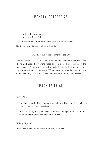# MONDAY, OCTOBER 28

until I put your enemies under your feet."'[h]

37David himself calls him 'Lord.' How then can he be his son?"

The large crowd listened to him with delight.

Warning Against the Teachers of the Law

38As he taught, Jesus said, "Watch out for the teachers of the law. They like to walk around in flowing robes and be greeted with respect in the marketplaces, <sup>39</sup>and have the most important seats in the synagogues and the places of honor at banquets. 40They devour widows' houses and for a show make lengthy prayers. These men will be punished most severely."

### MARK 12:13-40

#### *Takeaways*

- 1. The most important rule God gave us is to love Him first. The next is to love our neighbors as ourselves.
- 2. Jesus warned against people who pretended to be good, but did not do loving things to those who needed their love.

#### *Talking Topics*

What does it look like in your life to love God first?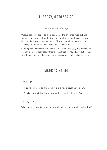# TUESDAY, OCTOBER 29

### *The Widow's Offering*

 $41$  Jesus sat down opposite the place where the offerings were put and watched the crowd putting their money into the temple treasury. Many rich people threw in large amounts.  $42$ But a poor widow came and put in two very small copper coins, worth only a few cents.

43 Calling his disciples to him, Jesus said, "Truly I tell you, this poor widow has put more into the treasury than all the others. <sup>44</sup>They all gave out of their wealth; but she, out of her poverty, put in everything—all she had to live on."

### MARK 12:41-44

#### *Takeaways*

- 1. It is much harder to give when you're giving everything you have.
- 2. By giving everything, the widow put her complete trust in God.

#### *Talking Topics*

What would it look like to put your whole self and your whole trust in God?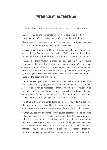## WEDNESDAY, OCTOBER 30

### *The Destruction of the Temple and Signs of the End Times*

 $1$ As Jesus was leaving the temple, one of his disciples said to him. "Look, Teacher! What massive stones! What magnificent buildings!"

2"Do you see all these great buildings?" replied Jesus. "Not one stone here will be left on another; every one will be thrown down."

3As Jesus was sitting on the Mount of Olives opposite the temple, Peter, James, John and Andrew asked him privately, <sup>4</sup>"Tell us, when will these things happen? And what will be the sign that they are all about to be fulfilled?"

5Jesus said to them: "Watch out that no one deceives you. 6Many will come in my name, claiming, 'I am he,' and will deceive many. 7When you hear of wars and rumors of wars, do not be alarmed. Such things must happen, but the end is still to come. <sup>8</sup>Nation will rise against nation, and kingdom against kingdom. There will be earthquakes in various places, and famines. These are the beginning of birth pains.

9"You must be on your guard. You will be handed over to the local councils and flogged in the synagogues. On account of me you will stand before governors and kings as witnesses to them. 10And the gospel must frst be preached to all nations. <sup>11</sup>Whenever you are arrested and brought to trial, do not worry beforehand about what to say. Just say whatever is given you at the time, for it is not you speaking, but the Holy Spirit.

<sup>12</sup>"Brother will betray brother to death, and a father his child. Children will rebel against their parents and have them put to death. <sup>13</sup> Everyone will hate you because of me, but the one who stands firm to the end will be saved.

14"When you see 'the abomination that causes desolation' standing where it does not belong—let the reader understand—then let those who are in Judea flee to the mountains.  $15$  Let no one on the housetop go down or enter the house to take anything out.  $16$  Let no one in the field go back to get their cloak. 17How dreadful it will be in those days for pregnant women and nursing mothers! <sup>18</sup>Pray that this will not take place in winter, <sup>19</sup>because those will be days of distress unequaled from the beginning, when God created the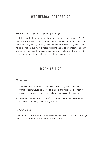## WEDNESDAY, OCTOBER 30

world, until now—and never to be equaled again.

<sup>20"</sup>If the Lord had not cut short those days, no one would survive. But for the sake of the elect, whom he has chosen, he has shortened them.  $21$ At that time if anyone says to you, 'Look, here is the Messiah!' or, 'Look, there he is!' do not believe it. <sup>22</sup>For false messiahs and false prophets will appear and perform signs and wonders to deceive, if possible, even the elect. 23So be on your guard; I have told you everything ahead of time.

### MARK 13:1-23

#### *Takeaways*

- 1. The disciples are curious (like anyone would be) what the signs of Christ's return would be. Jesus talks about the future and certainly doesn't sugar coat it, but he also shows compassion for people.
- 2. Jesus encourages us not to be afraid or defensive when speaking for our beliefs. The Holy Spirit will guide us.

#### *Talking Topics*

How can you prepare not to be deceived by people who teach untrue things about Jesus? What does it mean to remain faithful?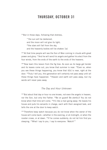## THURSDAY, OCTOBER 31

<sup>24</sup> But in those days, following that distress,

"'the sun will be darkened, and the moon will not give its light; 25the stars will fall from the sky. and the heavenly bodies will be shaken.'[a]

<sup>26</sup>"At that time people will see the Son of Man coming in clouds with great power and glory. 27And he will send his angels and gather his elect from the four winds, from the ends of the earth to the ends of the heavens.

<sup>28"</sup>Now learn this lesson from the fig tree: As soon as its twigs get tender and its leaves come out, you know that summer is near, <sup>29</sup>Even so, when you see these things happening, you know that it[b] is near, right at the door. 30Truly I tell you, this generation will certainly not pass away until all these things have happened. <sup>31</sup> Heaven and earth will pass away, but my words will never pass away.

#### *The Day and Hour Unknown*

 $32^{\circ}$ But about that day or hour no one knows, not even the angels in heaven, nor the Son, but only the Father. 33Be on guard! Be alert[c]! You do not know when that time will come.  $34$ It's like a man going away: He leaves his house and puts his servants in charge, each with their assigned task, and tells the one at the door to keep watch.

<sup>35</sup>"Therefore keep watch because you do not know when the owner of the house will come back—whether in the evening, or at midnight, or when the rooster crows, or at dawn. <sup>36</sup>If he comes suddenly, do not let him find you sleeping. <sup>37</sup>What I say to you, I say to everyone: 'Watch!'"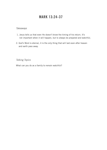# MARK 13:24-37

### *Takeaways*

- 1. Jesus tells us that even He doesn't know the timing of his return. It's not important when it will happen, but to always be prepared and watchful.
- 2. God's Word is eternal, it is the only thing that will last even after heaven and earth pass away.

*Talking Topics*

What can you do as a family to remain watchful?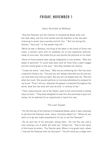# FRIDAY, NOVEMBER 1

### *Jesus Anointed at Bethany*

<sup>1</sup> Now the Passover and the Festival of Unleavened Bread were only two days away, and the chief priests and the teachers of the law were scheming to arrest Jesus secretly and kill him. <sup>2</sup> But not during the festival," they said, "or the people may riot."

3While he was in Bethany, reclining at the table in the home of Simon the Leper, a woman came with an alabaster jar of very expensive perfume, made of pure nard. She broke the jar and poured the perfume on his head.

4Some of those present were saying indignantly to one another, "Why this waste of perfume? <sup>5</sup>It could have been sold for more than a year's wages and the money given to the poor." And they rebuked her harshly.

6"Leave her alone," said Jesus. "Why are you bothering her? She has done a beautiful thing to me. 7The poor you will always have with you,[b] and you can help them any time you want. But you will not always have me. <sup>8</sup>She did what she could. She poured perfume on my body beforehand to prepare for my burial. 9Truly I tell you, wherever the gospel is preached throughout the world, what she has done will also be told, in memory of her."

<sup>10</sup>Then Judas Iscariot, one of the Twelve, went to the chief priests to betrav Jesus to them. <sup>11</sup>They were delighted to hear this and promised to give him money. So he watched for an opportunity to hand him over.

### *The Last Supper*

<sup>12</sup>On the first day of the Festival of Unleavened Bread, when it was customary to sacrifce the Passover lamb, Jesus' disciples asked him, "Where do you want us to go and make preparations for you to eat the Passover?"

<sup>13</sup>So he sent two of his disciples, telling them, "Go into the city, and a man carrying a jar of water will meet you. Follow him. <sup>14</sup>Say to the owner of the house he enters, 'The Teacher asks: Where is my guest room, where I may eat the Passover with my disciples?' <sup>15</sup>He will show you a large room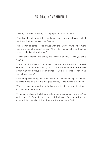### FRIDAY, NOVEMBER 1

upstairs, furnished and ready. Make preparations for us there."

<sup>16</sup>The disciples left, went into the city and found things just as Jesus had told them. So they prepared the Passover.

<sup>17</sup>When evening came, Jesus arrived with the Twelve. <sup>18</sup>While they were reclining at the table eating, he said, "Truly I tell you, one of you will betray me—one who is eating with me."

<sup>19</sup>They were saddened, and one by one they said to him, "Surely you don't mean me?"

 $20$ "It is one of the Twelve," he replied, "one who dips bread into the bowl with me. <sup>21</sup>The Son of Man will go just as it is written about him. But woe to that man who betrays the Son of Man! It would be better for him if he had not been born."

<sup>22</sup>While they were eating, Jesus took bread, and when he had given thanks, he broke it and gave it to his disciples, saying, "Take it; this is my body."

 $23$ Then he took a cup, and when he had given thanks, he gave it to them, and they all drank from it.

 $24$ "This is my blood of the[c] covenant, which is poured out for many," he said to them. <sup>25</sup>"Truly I tell you, I will not drink again from the fruit of the vine until that day when I drink it new in the kingdom of God."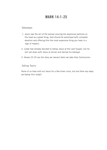# MARK 14:1-25

#### *Takeaways*

- 1. Jesus saw the act of the woman pouring the expensive perfume on His head as a great thing. God should be worshiped with complete devotion and offering Him the most expensive thing you have is a sign of respect.
- 2. Judas had already decided to betray Jesus at the Last Supper, but he still sat down with Jesus at dinner and denied his betrayal.
- 3. Verses 22-25 are the story we reenact when we take Holy Communion.

### *Talking Topics*

None of us have sold out Jesus for a few silver coins, but are there any ways we betray Him today?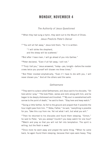### MONDAY, NOVEMBER 4

*The Authority of Jesus Questioned*

<sup>26</sup> When they had sung a hymn, they went out to the Mount of Olives. *Jesus Predicts Peter's Denial*

27"You will all fall away," Jesus told them, "for it is written:

"'I will strike the shepherd,

and the sheep will be scattered.'

28But after I have risen, I will go ahead of you into Galilee."

29Peter declared, "Even if all fall away, I will not."

30"Truly I tell you," Jesus answered, "today—yes, tonight—before the rooster crows twice you yourself will disown me three times."

31But Peter insisted emphatically, "Even if I have to die with you, I will never disown you." And all the others said the same.

#### *Gethsemane*

32They went to a place called Gethsemane, and Jesus said to his disciples, "Sit here while I pray." <sup>33</sup>He took Peter, James and John along with him, and he began to be deeply distressed and troubled. <sup>34"</sup>My soul is overwhelmed with sorrow to the point of death," he said to them. "Stay here and keep watch."

 $35$ Going a little farther, he fell to the ground and prayed that if possible the hour might pass from him. <sup>36</sup>"Abba, Father," he said, "everything is possible for you. Take this cup from me. Yet not what I will, but what you will."

<sup>37</sup>Then he returned to his disciples and found them sleeping. "Simon," he said to Peter, "are you asleep? Couldn't you keep watch for one hour? 38Watch and pray so that you will not fall into temptation. The spirit is willing, but the flesh is weak."

<sup>39</sup>Once more he went away and prayed the same thing. <sup>40</sup>When he came back, he again found them sleeping, because their eyes were heavy. They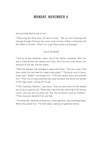# MONDAY, NOVEMBER 4

did not know what to say to him.

41Returning the third time, he said to them, "Are you still sleeping and resting? Enough! The hour has come. Look, the Son of Man is delivered into the hands of sinners. 42Rise! Let us go! Here comes my betrayer!"

### *Jesus Arrested*

43Just as he was speaking, Judas, one of the Twelve, appeared. With him was a crowd armed with swords and clubs, sent from the chief priests, the teachers of the law, and the elders.

44Now the betrayer had arranged a signal with them: "The one I kiss is the man; arrest him and lead him away under guard." <sup>45</sup>Going at once to Jesus, Judas said, "Rabbi!" and kissed him. 46The men seized Jesus and arrested him. <sup>47</sup>Then one of those standing near drew his sword and struck the servant of the high priest, cutting off his ear.

48"Am I leading a rebellion," said Jesus, "that you have come out with swords and clubs to capture me? 49Every day I was with you, teaching in the temple courts, and you did not arrest me. But the Scriptures must be fulflled." 50Then everyone deserted him and fled.

51A young man, wearing nothing but a linen garment, was following Jesus. When they seized him, <sup>52</sup>he fled naked, leaving his garment behind.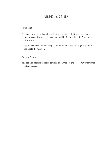# MARK 14:26-52

### *Takeaways*

- 1. Jesus knew the unbearable suffering and pain of taking on everyone's sins was coming soon. Jesus expressed His feelings but didn't question God's will.
- 2. Jesus' disciples couldn't keep watch and fled at the first sign of trouble (as foretold by Jesus).

### *Talking Topics*

How can you prepare to resist temptation? What are the three ways mentioned in today's passage?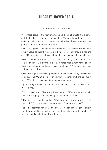# TUESDAY, NOVEMBER 5

### *Jesus Before the Sanhedrin*

53 They took Jesus to the high priest, and all the chief priests, the elders and the teachers of the law came together. <sup>54</sup>Peter followed him at a distance, right into the courtyard of the high priest. There he sat with the guards and warmed himself at the fre.

<sup>55</sup>The chief priests and the whole Sanhedrin were looking for evidence against Jesus so that they could put him to death, but they did not find any. 56Many testifed falsely against him, but their statements did not agree.

 $57$ Then some stood up and gave this false testimony against him:  $58$ "We heard him say, 'I will destroy this temple made with human hands and in three days will build another, not made with hands."" <sup>59</sup>Yet even then their testimony did not agree.

60Then the high priest stood up before them and asked Jesus, "Are you not going to answer? What is this testimony that these men are bringing against you?" 61But Jesus remained silent and gave no answer.

Again the high priest asked him, "Are you the Messiah, the Son of the Blessed One?"

62"I am," said Jesus. "And you will see the Son of Man sitting at the right hand of the Mighty One and coming on the clouds of heaven."

63The high priest tore his clothes. "Why do we need any more witnesses?" he asked. <sup>64</sup>"You have heard the blasphemy. What do you think?"

They all condemned him as worthy of death. <sup>65</sup>Then some began to spit at him; they blindfolded him, struck him with their fists, and said, "Prophesy!" And the guards took him and beat him.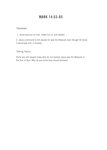# MARK 14:53-65

### *Takeaways*

1. Jesus was put on trial, made fun of, and beaten.

2. Jesus continued to tell people he was the Messiah even though He knew it would get Him in trouble.

### *Talking Topics*

There are still people today who do not believe Jesus was the Messiah or the Son of God. Why do you think they should believe?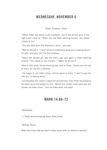## WEDNESDAY, NOVEMBER 6

### *Peter Disowns Jesus*

<sup>66</sup> While Peter was below in the courtyard, one of the servant girls of the high priest came by. 67When she saw Peter warming himself, she looked closely at him.

"You also were with that Nazarene, Jesus," she said.

68But he denied it. "I don't know or understand what you're talking about," he said, and went out into the entryway.

69When the servant girl saw him there, she said again to those standing around, "This fellow is one of them." 70Again he denied it.

After a little while, those standing near said to Peter, "Surely you are one of them, for you are a Galilean."

 $71$ He began to call down curses, and he swore to them, "I don't know this man you're talking about."

<sup>72</sup>Immediately the rooster crowed the second time. Then Peter remembered the word Jesus had spoken to him: "Before the rooster crows twice you will disown me three times." And he broke down and wept.

### MARK 14:66-72

#### *Takeaways*

1. Peter denied knowing Jesus three times.

#### *Talking Topics*

When are times that we tend to deny Jesus with our words or actions?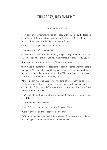## THURSDAY, NOVEMBER 7

### *Jesus Before Pilate*

<sup>1</sup> Very early in the morning, the chief priests, with the elders, the teachers of the law and the whole Sanhedrin, made their plans. So they bound Jesus, led him away and handed him over to Pilate.

2"Are you the king of the Jews?" asked Pilate.

"You have said so," Jesus replied.

<sup>3</sup>The chief priests accused him of many things. <sup>4</sup>So again Pilate asked him, "Aren't you going to answer? See how many things they are accusing you of."

5But Jesus still made no reply, and Pilate was amazed.

6Now it was the custom at the festival to release a prisoner whom the people requested. 7A man called Barabbas was in prison with the insurrectionists who had committed murder in the uprising. <sup>8</sup>The crowd came up and asked Pilate to do for them what he usually did.

9"Do you want me to release to you the king of the Jews?" asked Pilate. <sup>10</sup>knowing it was out of self-interest that the chief priests had handed Jesus over to him. <sup>11</sup>But the chief priests stirred up the crowd to have Pilate release Barabbas instead.

12"What shall I do, then, with the one you call the king of the Jews?" Pilate asked them.

13"Crucify him!" they shouted.

14"Why? What crime has he committed?" asked Pilate.

But they shouted all the louder, "Crucify him!"

<sup>15</sup>Wanting to satisfy the crowd, Pilate released Barabbas to them. He had Jesus flogged, and handed him over to be crucified.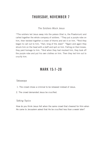# THURSDAY, NOVEMBER 7

### *The Soldiers Mock Jesus*

<sup>16</sup>The soldiers led Jesus away into the palace (that is, the Praetorium) and called together the whole company of soldiers.  $17$ They put a purple robe on him, then twisted together a crown of thorns and set it on him. <sup>18</sup>And they began to call out to him, "Hail, king of the Jews!" 19Again and again they struck him on the head with a staff and spit on him. Falling on their knees, they paid homage to him. <sup>20</sup>And when they had mocked him, they took off the purple robe and put his own clothes on him. Then they led him out to crucify him.

### MARK 15:1-20

#### *Takeaways*

- 1. The crowd chose a criminal to be released instead of Jesus.
- 2. The crowd demanded Jesus be crucifed.

### *Talking Topics*

How do you think Jesus felt when the same crowd that cheered for Him when He came to Jerusalem asked that He be crucifed less than a week later?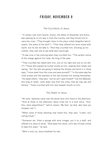# FRIDAY, NOVEMBER 8

### *The Cruci*f*xion of Jesus*

 $21A$  certain man from Cyrene, Simon, the father of Alexander and Rufus, was passing by on his way in from the country, and they forced him to carry the cross. <sup>22</sup>They brought Jesus to the place called Golgotha (which means "the place of the skull"). 23Then they offered him wine mixed with myrrh, but he did not take it. 24And they crucifed him. Dividing up his clothes, they cast lots to see what each would get.

 $25$ It was nine in the morning when they crucified him.  $26$ The written notice of the charge against him read: the king of the jews.

<sup>27</sup>They crucified two rebels with him, one on his right and one on his left. [<sup>28] 29</sup>Those who passed by hurled insults at him, shaking their heads and saying, "So! You who are going to destroy the temple and build it in three days, <sup>30</sup>come down from the cross and save yourself!" <sup>31</sup>In the same way the chief priests and the teachers of the law mocked him among themselves. "He saved others," they said, "but he can't save himself! 32Let this Messiah, this king of Israel, come down now from the cross, that we may see and believe." Those crucifed with him also heaped insults on him.

### *The Death of Jesus*

<sup>33</sup>At noon, darkness came over the whole land until three in the afternoon. <sup>34</sup>And at three in the afternoon Jesus cried out in a loud voice, "Eloi, Eloi, lema sabachthani?" (which means "My God, my God, why have you forsaken me?").

<sup>35</sup>When some of those standing near heard this, they said, "Listen, he's calling Elijah."

36Someone ran, flled a sponge with wine vinegar, put it on a staff, and offered it to Jesus to drink. "Now leave him alone. Let's see if Elijah comes to take him down," he said.

<sup>37</sup>With a loud cry, Jesus breathed his last.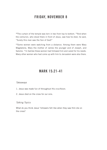## FRIDAY, NOVEMBER 8

38The curtain of the temple was torn in two from top to bottom. 39And when the centurion, who stood there in front of Jesus, saw how he died, he said, "Surely this man was the Son of God!"

40Some women were watching from a distance. Among them were Mary Magdalene, Mary the mother of James the younger and of Joseph, and Salome. <sup>41</sup>In Galilee these women had followed him and cared for his needs. Many other women who had come up with him to Jerusalem were also there.

### MARK 15:21-41

#### *Takeaways*

- 1. Jesus was made fun of throughout His crucifixion.
- 2. Jesus died on the cross for our sins.

### *Talking Topics*

What do you think Jesus' followers felt like when they saw Him die on the cross?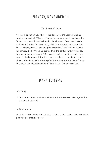### MONDAY, NOVEMBER 11

### *The Burial of Jesus*

 $42$  It was Preparation Day (that is, the day before the Sabbath). So as evening approached, 43Joseph of Arimathea, a prominent member of the Council, who was himself waiting for the kingdom of God, went boldly to Pilate and asked for Jesus' body. 44Pilate was surprised to hear that he was already dead. Summoning the centurion, he asked him if Jesus had already died. 45When he learned from the centurion that it was so, he gave the body to Joseph. <sup>46</sup>So Joseph bought some linen cloth, took down the body, wrapped it in the linen, and placed it in a tomb cut out of rock. Then he rolled a stone against the entrance of the tomb. 47Mary Magdalene and Mary the mother of Joseph saw where he was laid.

### MARK 15:42-47

#### *Takeaways*

 1. Jesus was buried in a borrowed tomb and a stone was rolled against the entrance to close it.

#### *Talking Topics*

When Jesus was buried, the situation seemed hopeless. Have you ever had a time when you felt hopeless?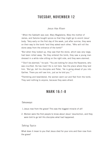# TUESDAY, NOVEMBER 12

### *Jesus Has Risen*

<sup>1</sup> When the Sabbath was over, Mary Magdalene, Mary the mother of James, and Salome bought spices so that they might go to anoint Jesus' body. <sup>2</sup>Very early on the first day of the week, just after sunrise, they were on their way to the tomb <sup>3</sup>and they asked each other, "Who will roll the stone away from the entrance of the tomb?"

4But when they looked up, they saw that the stone, which was very large, had been rolled away. <sup>5</sup>As they entered the tomb, they saw a young man dressed in a white robe sitting on the right side, and they were alarmed.

6"Don't be alarmed," he said. "You are looking for Jesus the Nazarene, who was crucifed. He has risen! He is not here. See the place where they laid him. <sup>7</sup>But go, tell his disciples and Peter, 'He is going ahead of you into Galilee. There you will see him, just as he told you.'"

<sup>8</sup>Trembling and bewildered, the women went out and fled from the tomb. They said nothing to anyone, because they were afraid.

## MARK 16:1-8

#### *Takeaways*

- 1.Jesus rose from the grave! This was the biggest miracle of all!
- 2. Women were the frst people to know about Jesus' resurrection, and they were told to go tell His disciples what had happened.

### *Talking Topics*

What does it mean to you that Jesus died for your sins and then rose from the grave?